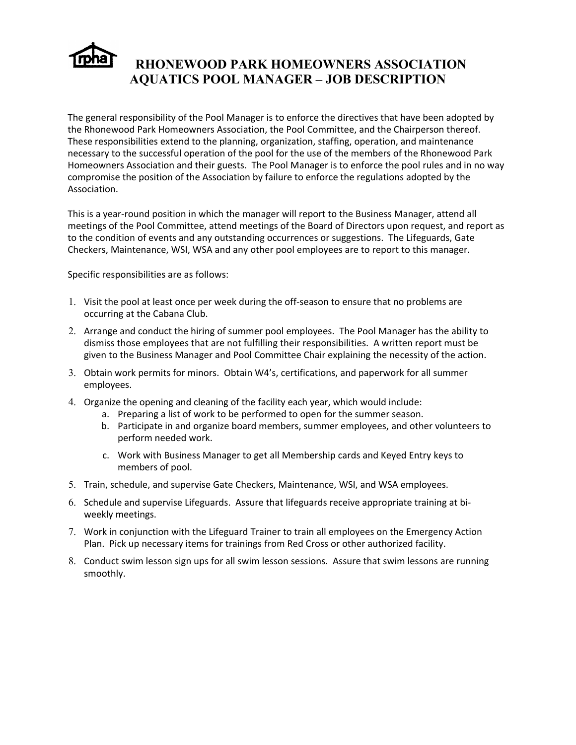

## **RHONEWOOD PARK HOMEOWNERS ASSOCIATION AQUATICS POOL MANAGER – JOB DESCRIPTION**

The general responsibility of the Pool Manager is to enforce the directives that have been adopted by the Rhonewood Park Homeowners Association, the Pool Committee, and the Chairperson thereof. These responsibilities extend to the planning, organization, staffing, operation, and maintenance necessary to the successful operation of the pool for the use of the members of the Rhonewood Park Homeowners Association and their guests. The Pool Manager is to enforce the pool rules and in no way compromise the position of the Association by failure to enforce the regulations adopted by the Association.

This is a year-round position in which the manager will report to the Business Manager, attend all meetings of the Pool Committee, attend meetings of the Board of Directors upon request, and report as to the condition of events and any outstanding occurrences or suggestions. The Lifeguards, Gate Checkers, Maintenance, WSI, WSA and any other pool employees are to report to this manager.

Specific responsibilities are as follows:

- 1. Visit the pool at least once per week during the off-season to ensure that no problems are occurring at the Cabana Club.
- 2. Arrange and conduct the hiring of summer pool employees. The Pool Manager has the ability to dismiss those employees that are not fulfilling their responsibilities. A written report must be given to the Business Manager and Pool Committee Chair explaining the necessity of the action.
- 3. Obtain work permits for minors. Obtain W4's, certifications, and paperwork for all summer employees.
- 4. Organize the opening and cleaning of the facility each year, which would include:
	- a. Preparing a list of work to be performed to open for the summer season.
	- b. Participate in and organize board members, summer employees, and other volunteers to perform needed work.
	- c. Work with Business Manager to get all Membership cards and Keyed Entry keys to members of pool.
- 5. Train, schedule, and supervise Gate Checkers, Maintenance, WSI, and WSA employees.
- 6. Schedule and supervise Lifeguards. Assure that lifeguards receive appropriate training at biweekly meetings.
- 7. Work in conjunction with the Lifeguard Trainer to train all employees on the Emergency Action Plan. Pick up necessary items for trainings from Red Cross or other authorized facility.
- 8. Conduct swim lesson sign ups for all swim lesson sessions. Assure that swim lessons are running smoothly.